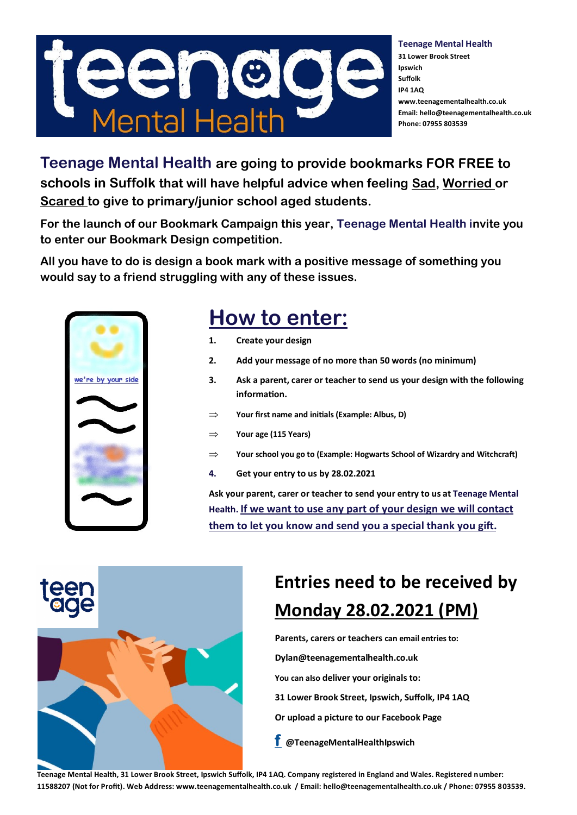

**Teenage Mental Health 31 Lower Brook Street Ipswich Suffolk IP4 1AQ www.teenagementalhealth.co.uk Email: hello@teenagementalhealth.co.uk Phone: 07955 803539**

**Teenage Mental Health are going to provide bookmarks FOR FREE to schools in Suffolk that will have helpful advice when feeling Sad, Worried or Scared to give to primary/junior school aged students.**

**For the launch of our Bookmark Campaign this year, Teenage Mental Health invite you to enter our Bookmark Design competition.** 

**All you have to do is design a book mark with a positive message of something you would say to a friend struggling with any of these issues.**



## **How to enter:**

- **1. Create your design**
- **2. Add your message of no more than 50 words (no minimum)**
- **3. Ask a parent, carer or teacher to send us your design with the following information.**
- **Your first name and initials (Example: Albus, D)**
- **Your age (115 Years)**
- **Your school you go to (Example: Hogwarts School of Wizardry and Witchcraft)**
- **4. Get your entry to us by 28.02.2021**

**Ask your parent, carer or teacher to send your entry to us at Teenage Mental Health. If we want to use any part of your design we will contact them to let you know and send you a special thank you gift.** 

## **Entries need to be received by Monday 28.02.2021 (PM)**

**Parents, carers or teachers can email entries to:**

**Dylan@teenagementalhealth.co.uk** 

**You can also deliver your originals to:** 

- **31 Lower Brook Street, Ipswich, Suffolk, IP4 1AQ**
- **Or upload a picture to our Facebook Page**
- **[f](https://www.facebook.com/TeenageMentalHealthIpswich) @TeenageMentalHealthIpswich**

**Teenage Mental Health, 31 Lower Brook Street, Ipswich Suffolk, IP4 1AQ. Company registered in England and Wales. Registered number: 11588207 (Not for Profit). Web Address: www.teenagementalhealth.co.uk / Email: hello@teenagementalhealth.co.uk / Phone: 07955 803539.**